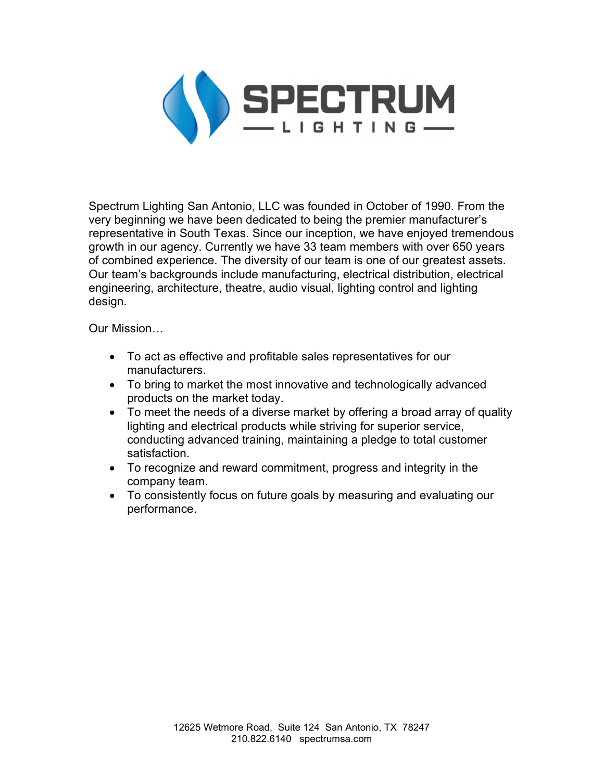

Spectrum Lighting San Antonio, LLC was founded in October of 1990. From the very beginning we have been dedicated to being the premier manufacturer's representative in South Texas. Since our inception, we have enjoyed tremendous growth in our agency. Currently we have 33 team members with over 650 years of combined experience. The diversity of our team is one of our greatest assets. Our team's backgrounds include manufacturing, electrical distribution, electrical engineering, architecture, theatre, audio visual, lighting control and lighting design.

Our Mission…

- To act as effective and profitable sales representatives for our manufacturers.
- To bring to market the most innovative and technologically advanced products on the market today.
- To meet the needs of a diverse market by offering a broad array of quality lighting and electrical products while striving for superior service, conducting advanced training, maintaining a pledge to total customer satisfaction.
- To recognize and reward commitment, progress and integrity in the company team.
- To consistently focus on future goals by measuring and evaluating our performance.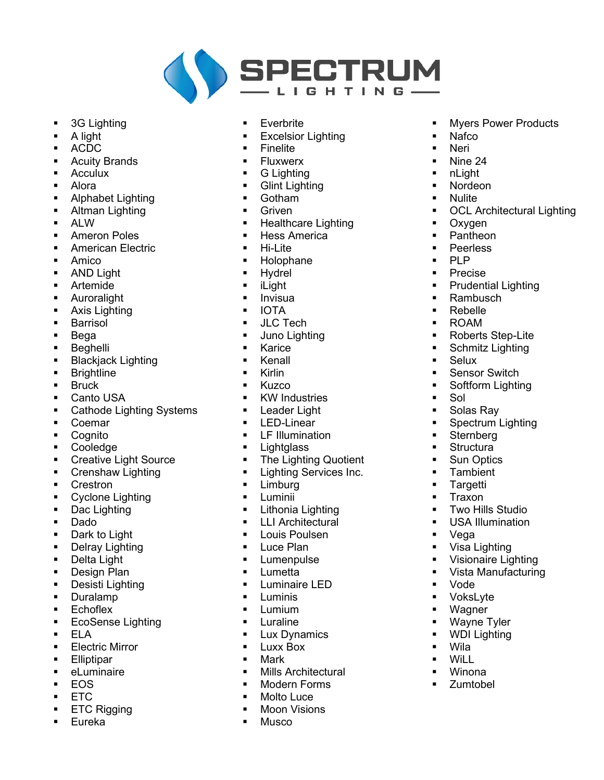

- $\blacksquare$ 3G Lighting
- A light ŕ
- **ACDC**
- $\blacksquare$ **Acuity Brands**
- **Acculux**  $\blacksquare$
- Alora  $\blacksquare$
- Alphabet Lighting  $\blacksquare$
- Altman Lighting  $\blacksquare$
- **ALW**
- **Ameron Poles**  $\blacksquare$
- $\blacksquare$ **American Electric**
- Amico  $\blacksquare$
- **AND Light**  $\blacksquare$
- $\blacksquare$ Artemide
- Auroralight  $\blacksquare$
- Axis Lighting  $\blacksquare$
- Barrisol  $\blacksquare$
- Bega  $\blacksquare$
- Beahelli  $\blacksquare$
- **Blackjack Lighting**  $\blacksquare$
- $\blacksquare$ **Brightline**
- **Bruck**  $\blacksquare$
- Canto USA  $\blacksquare$
- **Cathode Lighting Systems**  $\blacksquare$
- Coemar  $\blacksquare$
- Cognito  $\blacksquare$
- Cooledge  $\blacksquare$
- **Creative Light Source**  $\blacksquare$
- Crenshaw Lighting  $\blacksquare$
- Crestron  $\blacksquare$
- Cyclone Lighting  $\blacksquare$
- $\blacksquare$ Dac Lighting
- Dado  $\blacksquare$
- $\blacksquare$ Dark to Light
- Delray Lighting  $\blacksquare$
- Delta Light  $\blacksquare$
- Design Plan  $\blacksquare$
- Desisti Lighting  $\blacksquare$
- Duralamp  $\blacksquare$
- $\blacksquare$ Echoflex
- **EcoSense Lighting**  $\blacksquare$
- $\blacksquare$ **ELA**
- **Electric Mirror**  $\blacksquare$
- $\blacksquare$ Elliptipar
- $\blacksquare$ eLuminaire
- **EOS**  $\blacksquare$
- **ETC**  $\blacksquare$
- **ETC Rigging**  $\blacksquare$
- Eureka  $\blacksquare$
- $\blacksquare$ Everbrite
- **Excelsior Lighting**
- Finelite
- $\blacksquare$ **Fluxwerx**
- **G** Lighting  $\blacksquare$
- **Glint Lighting**  $\blacksquare$
- Gotham  $\blacksquare$
- Griven  $\blacksquare$
- **Healthcare Lighting**  $\blacksquare$
- **Hess America**  $\blacksquare$
- $\blacksquare$ Hi-I ite
- Holophane  $\blacksquare$
- Hvdrel
- $\blacksquare$ iLight
- Invisua  $\blacksquare$
- **IOTA**  $\blacksquare$
- **JLC Tech**  $\blacksquare$
- Juno Lighting  $\blacksquare$
- Karice  $\blacksquare$
- Kenall  $\blacksquare$
- $\blacksquare$ **Kirlin**
- Kuzco  $\blacksquare$
- **KW Industries**  $\blacksquare$
- Leader Light  $\blacksquare$
- LED-Linear  $\blacksquare$
- LF Illumination  $\blacksquare$
- $\blacksquare$ **Lightalass**
- The Lighting Quotient  $\blacksquare$
- **Lighting Services Inc.**  $\blacksquare$
- Limburg  $\blacksquare$
- $\blacksquare$ Luminii
- Lithonia Lighting  $\blacksquare$
- **LLI Architectural**  $\blacksquare$
- Louis Poulsen  $\blacksquare$
- Luce Plan  $\blacksquare$
- Lumenpulse  $\blacksquare$
- $\blacksquare$ Lumetta
- Luminaire LED  $\blacksquare$
- Luminis  $\blacksquare$
- $\blacksquare$ Lumium
- $\blacksquare$ Luraline
- Lux Dynamics  $\blacksquare$
- Luxx Box  $\blacksquare$
- Mark  $\blacksquare$
- Mills Architectural  $\blacksquare$
- **Modern Forms**  $\blacksquare$
- Molto Luce  $\blacksquare$
- $\blacksquare$ **Moon Visions**
- **Musco**  $\blacksquare$

 $\blacksquare$ **Myers Power Products** 

**OCL Architectural Lighting** 

Nafco

Nine 24

**Nordeon** 

Oxygen

Pantheon

**Peerless** 

Precise

Rebelle

**ROAM** 

**Selux** 

Sol

Rambusch

**Prudential Lighting** 

Roberts Step-Lite

Schmitz Lighting

Spectrum Lighting

Two Hills Studio

**USA Illumination** 

Visionaire Lighting

Vista Manufacturing

Visa Lighting

Sensor Switch Softform Lighting

Solas Ray

Sternberg

Structura

**Sun Optics** 

Tambient

Targetti

Traxon

Vega

Vode

Wila

WiLL

Winona

Zumtobel

VoksLyte

Wayne Tyler

**WDI Lighting** 

Wagner

**PLP** 

nLight

**Nulite** 

**Neri** 

 $\blacksquare$ 

 $\blacksquare$ 

 $\blacksquare$ 

 $\blacksquare$ 

 $\blacksquare$ 

 $\blacksquare$ 

٠

 $\blacksquare$ 

 $\blacksquare$ 

a.

×,

 $\blacksquare$ 

 $\blacksquare$ 

 $\blacksquare$ 

 $\blacksquare$ 

 $\blacksquare$ 

 $\blacksquare$ 

 $\blacksquare$ 

 $\blacksquare$ 

 $\blacksquare$ 

 $\blacksquare$ 

 $\blacksquare$ 

 $\blacksquare$ 

 $\blacksquare$ 

 $\blacksquare$ 

 $\blacksquare$ 

 $\blacksquare$ 

 $\blacksquare$ 

 $\blacksquare$ 

 $\blacksquare$ 

 $\blacksquare$ 

 $\blacksquare$ 

 $\blacksquare$ 

 $\blacksquare$ 

 $\blacksquare$ 

 $\blacksquare$ 

 $\blacksquare$ 

 $\blacksquare$ 

 $\blacksquare$ 

 $\blacksquare$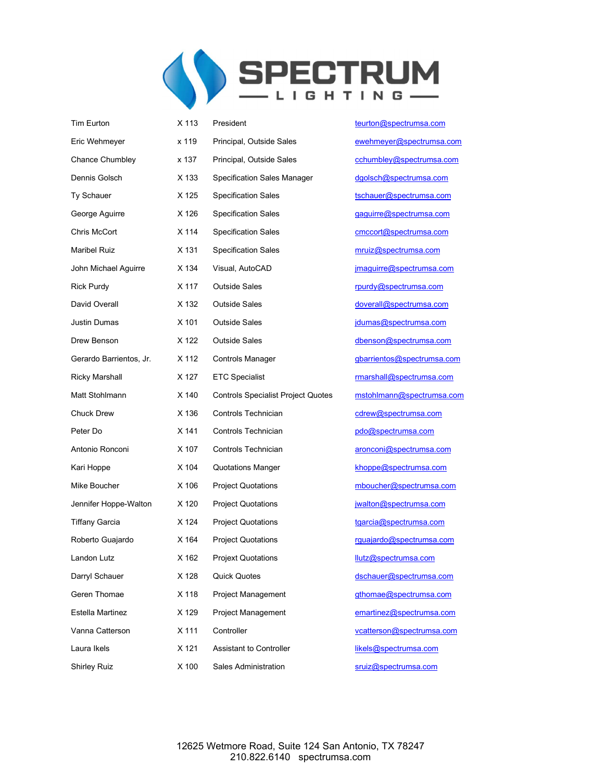

| Tim Eurton              | X 113 | President                                 | teurton@spectrumsa.co |
|-------------------------|-------|-------------------------------------------|-----------------------|
| Eric Wehmeyer           | x 119 | Principal, Outside Sales                  | ewehmeyer@spectrums   |
| <b>Chance Chumbley</b>  | x 137 | Principal, Outside Sales                  | cchumbley@spectrums   |
| Dennis Golsch           | X 133 | <b>Specification Sales Manager</b>        | dgolsch@spectrumsa.co |
| Ty Schauer              | X 125 | <b>Specification Sales</b>                | tschauer@spectrumsa.c |
| George Aguirre          | X 126 | <b>Specification Sales</b>                | gaguirre@spectrumsa.c |
| Chris McCort            | X 114 | <b>Specification Sales</b>                | cmccort@spectrumsa.c  |
| <b>Maribel Ruiz</b>     | X 131 | <b>Specification Sales</b>                | mruiz@spectrumsa.com  |
| John Michael Aguirre    | X 134 | Visual, AutoCAD                           | jmaguirre@spectrumsa. |
| <b>Rick Purdy</b>       | X 117 | <b>Outside Sales</b>                      | rpurdy@spectrumsa.com |
| David Overall           | X 132 | <b>Outside Sales</b>                      | doverall@spectrumsa.c |
| Justin Dumas            | X 101 | <b>Outside Sales</b>                      | jdumas@spectrumsa.co  |
| Drew Benson             | X 122 | <b>Outside Sales</b>                      | dbenson@spectrumsa.o  |
| Gerardo Barrientos, Jr. | X 112 | <b>Controls Manager</b>                   | gbarrientos@spectrums |
| <b>Ricky Marshall</b>   | X 127 | <b>ETC Specialist</b>                     | rmarshall@spectrumsa. |
| Matt Stohlmann          | X 140 | <b>Controls Specialist Project Quotes</b> | mstohlmann@spectrum   |
| <b>Chuck Drew</b>       | X 136 | Controls Technician                       | cdrew@spectrumsa.cor  |
| Peter Do                | X 141 | Controls Technician                       | pdo@spectrumsa.com    |
| Antonio Ronconi         | X 107 | Controls Technician                       | aronconi@spectrumsa.c |
| Kari Hoppe              | X 104 | <b>Quotations Manger</b>                  | khoppe@spectrumsa.co  |
| Mike Boucher            | X 106 | <b>Project Quotations</b>                 | mboucher@spectrumsa   |
| Jennifer Hoppe-Walton   | X 120 | <b>Project Quotations</b>                 | jwalton@spectrumsa.co |
| <b>Tiffany Garcia</b>   | X 124 | <b>Project Quotations</b>                 | tgarcia@spectrumsa.co |
| Roberto Guajardo        | X 164 | <b>Project Quotations</b>                 | rguajardo@spectrumsa. |
| Landon Lutz             | X 162 | <b>Projext Quotations</b>                 | llutz@spectrumsa.com  |
| Darryl Schauer          | X 128 | <b>Quick Quotes</b>                       | dschauer@spectrumsa.  |
| Geren Thomae            | X 118 | Project Management                        | gthomae@spectrumsa.o  |
| Estella Martinez        | X 129 | <b>Project Management</b>                 | emartinez@spectrumsa  |
| Vanna Catterson         | X 111 | Controller                                | vcatterson@spectrumsa |
| Laura Ikels             | X 121 | <b>Assistant to Controller</b>            | likels@spectrumsa.com |
| <b>Shirley Ruiz</b>     | X 100 | <b>Sales Administration</b>               | sruiz@spectrumsa.com  |

spectrumsa.com er@spectrumsa.com ey@spectrumsa.com 0<sub>spectrumsa.com</sub> **@spectrumsa.com** <u>d</u>e Spectrumsa.com D<sub>i</sub>spectrumsa.com pectrumsa.com @spectrumsa.com spectrumsa.com 0<sub>spectrumsa.com</sub> **Spectrumsa.com Q**spectrumsa.com os@spectrumsa.com @spectrumsa.com ann@spectrumsa.com pectrumsa.com ectrumsa.com antonio Ronconio Rospectrumsa.com spectrumsa.com r@spectrumsa.com spectrumsa.com spectrumsa.com @spectrumsa.com ectrumsa.com @spectrumsa.com @spectrumsa.com z@spectrumsa.com n@spectrumsa.com bectrumsa.com

12625 Wetmore Road, Suite 124 San Antonio, TX 78247 210.822.6140 spectrumsa.com